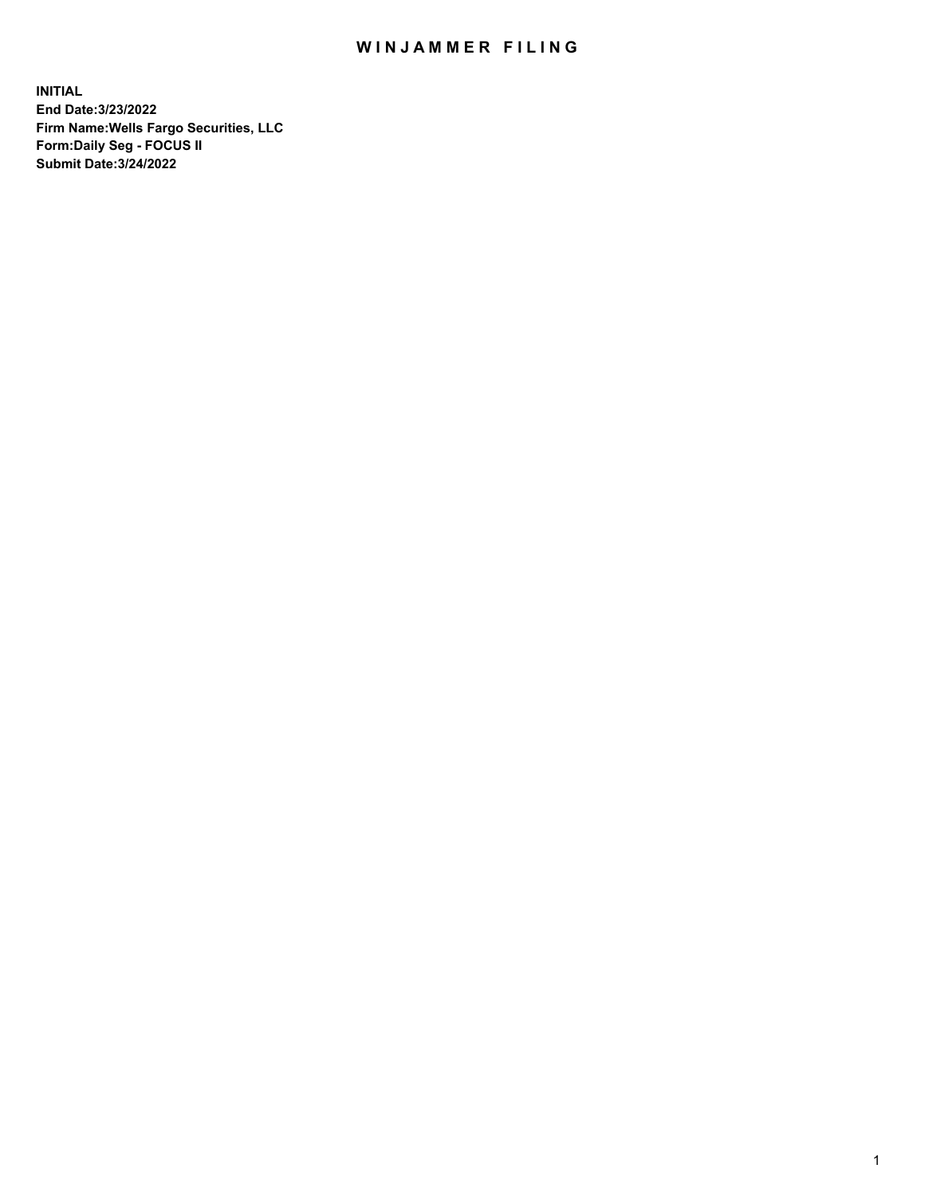## WIN JAMMER FILING

**INITIAL End Date:3/23/2022 Firm Name:Wells Fargo Securities, LLC Form:Daily Seg - FOCUS II Submit Date:3/24/2022**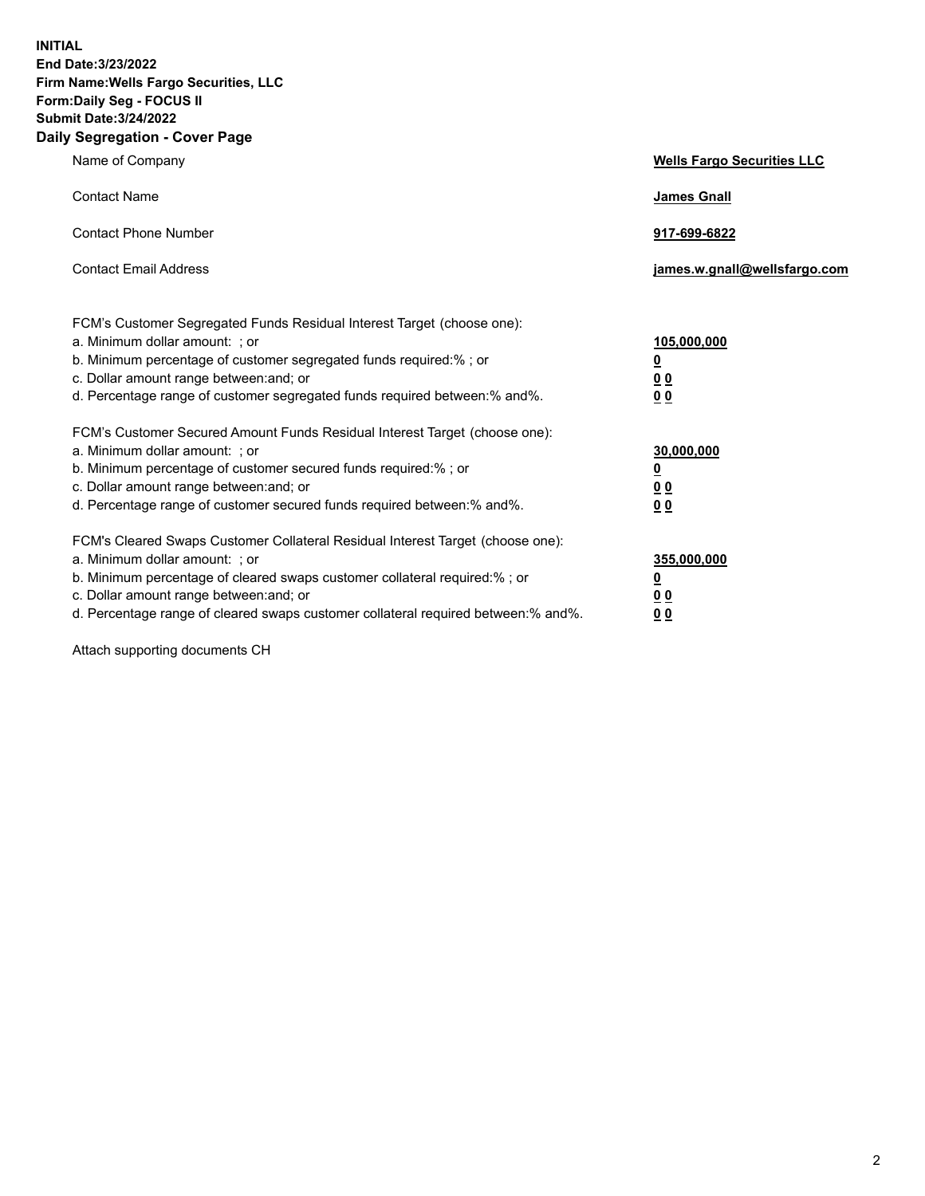**INITIAL End Date:3/23/2022 Firm Name:Wells Fargo Securities, LLC Form:Daily Seg - FOCUS II Submit Date:3/24/2022 Daily Segregation - Cover Page**

| Name of Company                                                                                                                                                                                                                                                                                                                | <b>Wells Fargo Securities LLC</b>                          |
|--------------------------------------------------------------------------------------------------------------------------------------------------------------------------------------------------------------------------------------------------------------------------------------------------------------------------------|------------------------------------------------------------|
| <b>Contact Name</b>                                                                                                                                                                                                                                                                                                            | <b>James Gnall</b>                                         |
| <b>Contact Phone Number</b>                                                                                                                                                                                                                                                                                                    | 917-699-6822                                               |
| <b>Contact Email Address</b>                                                                                                                                                                                                                                                                                                   | james.w.gnall@wellsfargo.com                               |
| FCM's Customer Segregated Funds Residual Interest Target (choose one):<br>a. Minimum dollar amount: ; or<br>b. Minimum percentage of customer segregated funds required:% ; or<br>c. Dollar amount range between: and; or<br>d. Percentage range of customer segregated funds required between:% and%.                         | 105,000,000<br><u>0</u><br>0 <sub>0</sub><br>00            |
| FCM's Customer Secured Amount Funds Residual Interest Target (choose one):<br>a. Minimum dollar amount: ; or<br>b. Minimum percentage of customer secured funds required:%; or<br>c. Dollar amount range between: and; or<br>d. Percentage range of customer secured funds required between:% and%.                            | 30,000,000<br><u>0</u><br>0 <sub>0</sub><br>0 <sub>0</sub> |
| FCM's Cleared Swaps Customer Collateral Residual Interest Target (choose one):<br>a. Minimum dollar amount: ; or<br>b. Minimum percentage of cleared swaps customer collateral required:% ; or<br>c. Dollar amount range between: and; or<br>d. Percentage range of cleared swaps customer collateral required between:% and%. | 355,000,000<br><u>0</u><br>00<br>00                        |

Attach supporting documents CH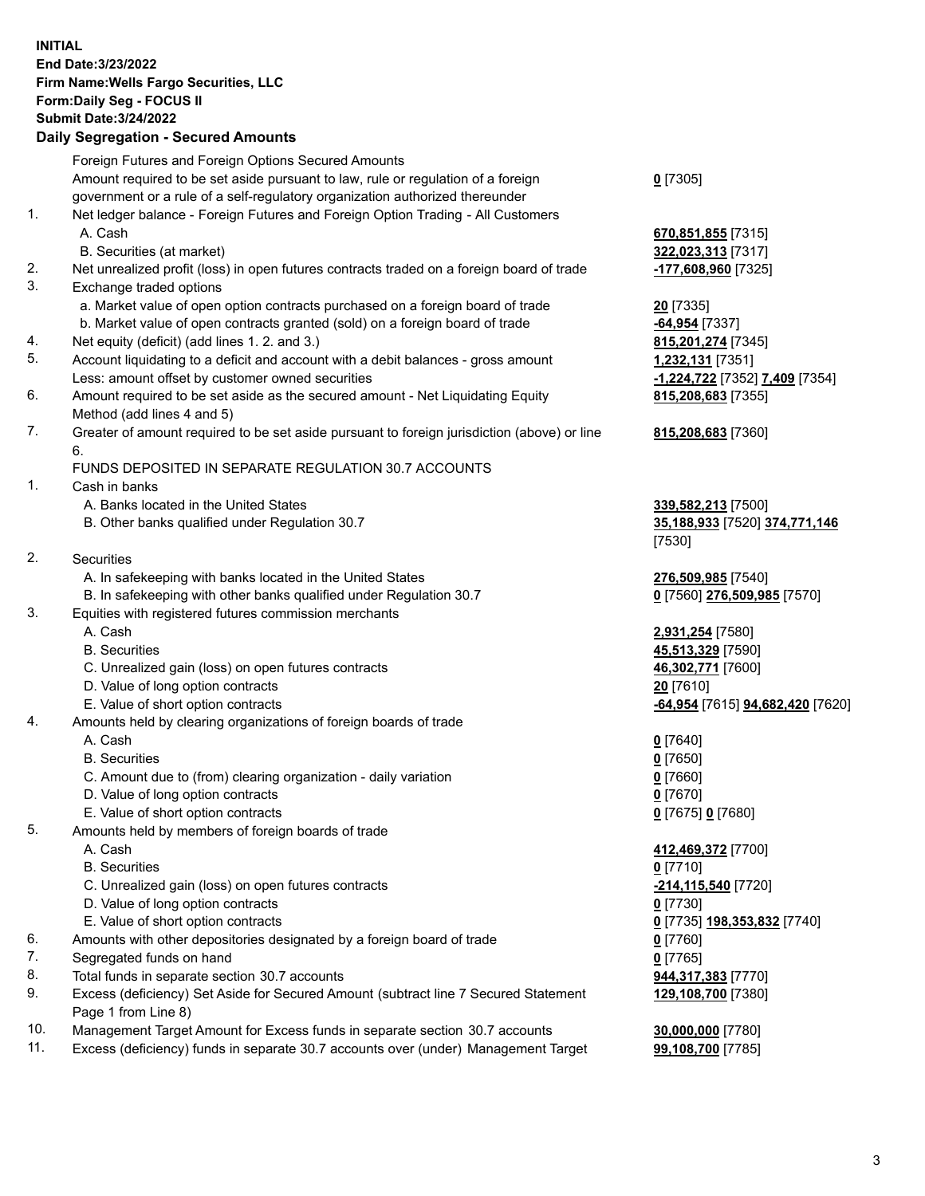**INITIAL End Date:3/23/2022 Firm Name:Wells Fargo Securities, LLC Form:Daily Seg - FOCUS II Submit Date:3/24/2022 Daily Segregation - Secured Amounts**

### Foreign Futures and Foreign Options Secured Amounts Amount required to be set aside pursuant to law, rule or regulation of a foreign government or a rule of a self-regulatory organization authorized thereunder 1. Net ledger balance - Foreign Futures and Foreign Option Trading - All Customers A. Cash **670,851,855** [7315] B. Securities (at market) **322,023,313** [7317] 2. Net unrealized profit (loss) in open futures contracts traded on a foreign board of trade **-177,608,960** [7325] 3. Exchange traded options a. Market value of open option contracts purchased on a foreign board of trade **20** [7335] b. Market value of open contracts granted (sold) on a foreign board of trade **-64,954** [7337] 4. Net equity (deficit) (add lines 1. 2. and 3.) **815,201,274** [7345] 5. Account liquidating to a deficit and account with a debit balances - gross amount **1,232,131** [7351] Less: amount offset by customer owned securities **-1,224,722** [7352] **7,409** [7354] 6. Amount required to be set aside as the secured amount - Net Liquidating Equity Method (add lines 4 and 5) 7. Greater of amount required to be set aside pursuant to foreign jurisdiction (above) or line

6.

#### FUNDS DEPOSITED IN SEPARATE REGULATION 30.7 ACCOUNTS

1. Cash in banks

- A. Banks located in the United States **339,582,213** [7500]
- B. Other banks qualified under Regulation 30.7 **35,188,933** [7520] **374,771,146**
- 2. Securities
	- A. In safekeeping with banks located in the United States **276,509,985** [7540]
- B. In safekeeping with other banks qualified under Regulation 30.7 **0** [7560] **276,509,985** [7570]
- 3. Equities with registered futures commission merchants
	-
	-
	- C. Unrealized gain (loss) on open futures contracts **46,302,771** [7600]
	- D. Value of long option contracts **20** [7610]
	-
- 4. Amounts held by clearing organizations of foreign boards of trade
	- A. Cash **0** [7640]
	- B. Securities **0** [7650]
	- C. Amount due to (from) clearing organization daily variation **0** [7660]
	- D. Value of long option contracts **0** [7670]
	- E. Value of short option contracts **0** [7675] **0** [7680]
- 5. Amounts held by members of foreign boards of trade
	-
	- B. Securities **0** [7710]
	- C. Unrealized gain (loss) on open futures contracts **-214,115,540** [7720]
	- D. Value of long option contracts **0** [7730]
	- E. Value of short option contracts **0** [7735] **198,353,832** [7740]
- 6. Amounts with other depositories designated by a foreign board of trade **0** [7760]
- 7. Segregated funds on hand **0** [7765]
- 8. Total funds in separate section 30.7 accounts **944,317,383** [7770]
- 9. Excess (deficiency) Set Aside for Secured Amount (subtract line 7 Secured Statement Page 1 from Line 8)
- 10. Management Target Amount for Excess funds in separate section 30.7 accounts **30,000,000** [7780]
- 11. Excess (deficiency) funds in separate 30.7 accounts over (under) Management Target **99,108,700** [7785]

**0** [7305]

**815,208,683** [7355]

#### **815,208,683** [7360]

[7530]

 A. Cash **2,931,254** [7580] B. Securities **45,513,329** [7590] E. Value of short option contracts **-64,954** [7615] **94,682,420** [7620]

 A. Cash **412,469,372** [7700] **129,108,700** [7380]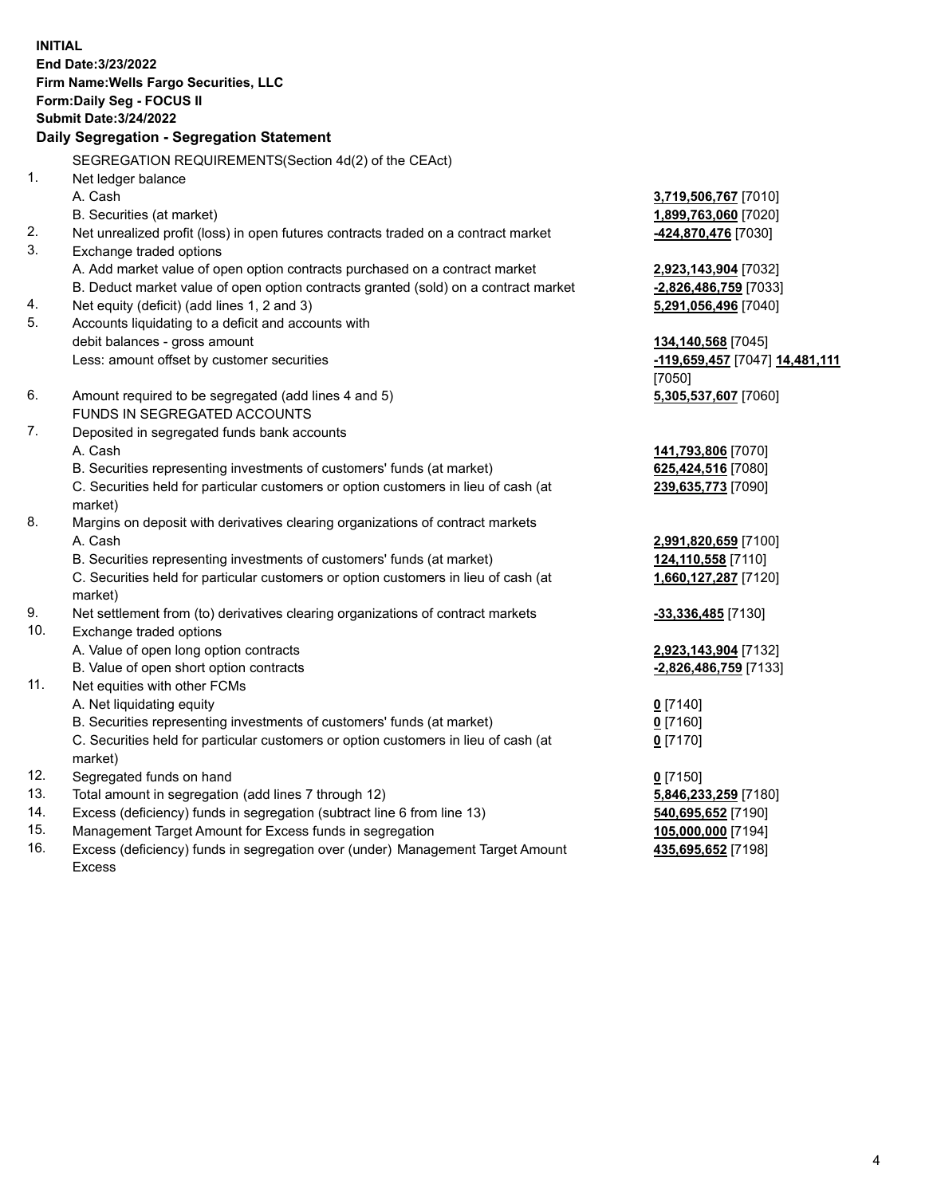**INITIAL End Date:3/23/2022 Firm Name:Wells Fargo Securities, LLC Form:Daily Seg - FOCUS II Submit Date:3/24/2022**

# **Daily Segregation - Segregation Statement**

SEGREGATION REQUIREMENTS(Section 4d(2) of the CEAct)

| 1.  | Net ledger balance                                                                  |                                |
|-----|-------------------------------------------------------------------------------------|--------------------------------|
|     | A. Cash                                                                             | 3,719,506,767 [7010]           |
|     | B. Securities (at market)                                                           | 1,899,763,060 [7020]           |
| 2.  | Net unrealized profit (loss) in open futures contracts traded on a contract market  | 424,870,476 [7030]             |
| 3.  | Exchange traded options                                                             |                                |
|     | A. Add market value of open option contracts purchased on a contract market         | 2,923,143,904 [7032]           |
|     | B. Deduct market value of open option contracts granted (sold) on a contract market | -2,826,486,759 [7033]          |
| 4.  | Net equity (deficit) (add lines 1, 2 and 3)                                         | 5,291,056,496 [7040]           |
| 5.  | Accounts liquidating to a deficit and accounts with                                 |                                |
|     | debit balances - gross amount                                                       | 134,140,568 [7045]             |
|     | Less: amount offset by customer securities                                          | -119,659,457 [7047] 14,481,111 |
|     |                                                                                     | [7050]                         |
| 6.  | Amount required to be segregated (add lines 4 and 5)                                | 5,305,537,607 [7060]           |
|     | FUNDS IN SEGREGATED ACCOUNTS                                                        |                                |
| 7.  | Deposited in segregated funds bank accounts                                         |                                |
|     | A. Cash                                                                             | 141,793,806 [7070]             |
|     | B. Securities representing investments of customers' funds (at market)              | 625,424,516 [7080]             |
|     | C. Securities held for particular customers or option customers in lieu of cash (at | 239,635,773 [7090]             |
|     | market)                                                                             |                                |
| 8.  | Margins on deposit with derivatives clearing organizations of contract markets      |                                |
|     | A. Cash                                                                             | 2,991,820,659 [7100]           |
|     | B. Securities representing investments of customers' funds (at market)              | 124,110,558 [7110]             |
|     | C. Securities held for particular customers or option customers in lieu of cash (at | 1,660,127,287 [7120]           |
|     | market)                                                                             |                                |
| 9.  | Net settlement from (to) derivatives clearing organizations of contract markets     | $-33,336,485$ [7130]           |
| 10. | Exchange traded options                                                             |                                |
|     | A. Value of open long option contracts                                              | 2,923,143,904 [7132]           |
|     | B. Value of open short option contracts                                             | -2,826,486,759 [7133]          |
| 11. | Net equities with other FCMs                                                        |                                |
|     | A. Net liquidating equity                                                           | $0$ [7140]                     |
|     | B. Securities representing investments of customers' funds (at market)              | $0$ [7160]                     |
|     | C. Securities held for particular customers or option customers in lieu of cash (at | $0$ [7170]                     |
|     | market)                                                                             |                                |
| 12. | Segregated funds on hand                                                            | $0$ [7150]                     |
| 13. | Total amount in segregation (add lines 7 through 12)                                | 5,846,233,259 [7180]           |
| 14. | Excess (deficiency) funds in segregation (subtract line 6 from line 13)             | 540,695,652 [7190]             |
| 15. | Management Target Amount for Excess funds in segregation                            | 105,000,000 [7194]             |
| 16. | Excess (deficiency) funds in segregation over (under) Management Target Amount      | 435,695,652 [7198]             |
|     | <b>Excess</b>                                                                       |                                |